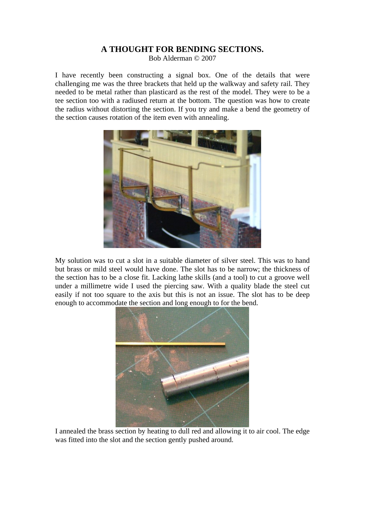## **A THOUGHT FOR BENDING SECTIONS.**

Bob Alderman © 2007

I have recently been constructing a signal box. One of the details that were challenging me was the three brackets that held up the walkway and safety rail. They needed to be metal rather than plasticard as the rest of the model. They were to be a tee section too with a radiused return at the bottom. The question was how to create the radius without distorting the section. If you try and make a bend the geometry of the section causes rotation of the item even with annealing.



My solution was to cut a slot in a suitable diameter of silver steel. This was to hand but brass or mild steel would have done. The slot has to be narrow; the thickness of the section has to be a close fit. Lacking lathe skills (and a tool) to cut a groove well under a millimetre wide I used the piercing saw. With a quality blade the steel cut easily if not too square to the axis but this is not an issue. The slot has to be deep enough to accommodate the section and long enough to for the bend.



I annealed the brass section by heating to dull red and allowing it to air cool. The edge was fitted into the slot and the section gently pushed around.